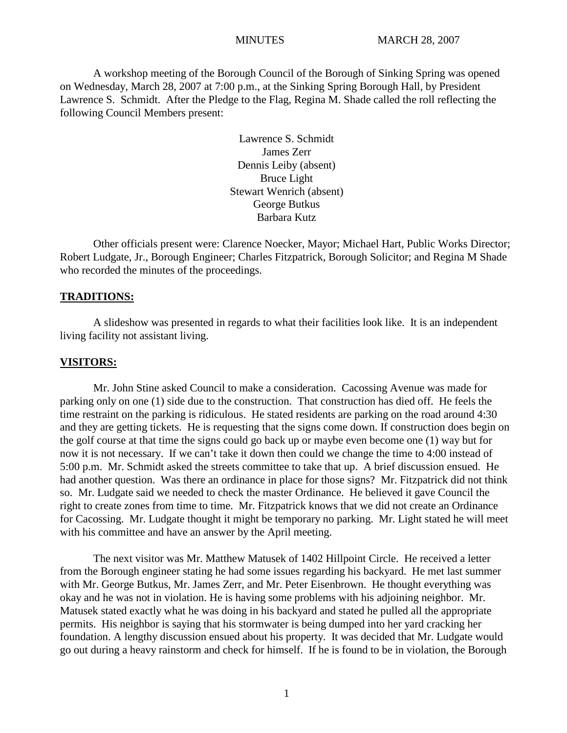A workshop meeting of the Borough Council of the Borough of Sinking Spring was opened on Wednesday, March 28, 2007 at 7:00 p.m., at the Sinking Spring Borough Hall, by President Lawrence S. Schmidt. After the Pledge to the Flag, Regina M. Shade called the roll reflecting the following Council Members present:

> Lawrence S. Schmidt James Zerr Dennis Leiby (absent) Bruce Light Stewart Wenrich (absent) George Butkus Barbara Kutz

Other officials present were: Clarence Noecker, Mayor; Michael Hart, Public Works Director; Robert Ludgate, Jr., Borough Engineer; Charles Fitzpatrick, Borough Solicitor; and Regina M Shade who recorded the minutes of the proceedings.

## **TRADITIONS:**

A slideshow was presented in regards to what their facilities look like. It is an independent living facility not assistant living.

## **VISITORS:**

Mr. John Stine asked Council to make a consideration. Cacossing Avenue was made for parking only on one (1) side due to the construction. That construction has died off. He feels the time restraint on the parking is ridiculous. He stated residents are parking on the road around 4:30 and they are getting tickets. He is requesting that the signs come down. If construction does begin on the golf course at that time the signs could go back up or maybe even become one (1) way but for now it is not necessary. If we can't take it down then could we change the time to 4:00 instead of 5:00 p.m. Mr. Schmidt asked the streets committee to take that up. A brief discussion ensued. He had another question. Was there an ordinance in place for those signs? Mr. Fitzpatrick did not think so. Mr. Ludgate said we needed to check the master Ordinance. He believed it gave Council the right to create zones from time to time. Mr. Fitzpatrick knows that we did not create an Ordinance for Cacossing. Mr. Ludgate thought it might be temporary no parking. Mr. Light stated he will meet with his committee and have an answer by the April meeting.

The next visitor was Mr. Matthew Matusek of 1402 Hillpoint Circle. He received a letter from the Borough engineer stating he had some issues regarding his backyard. He met last summer with Mr. George Butkus, Mr. James Zerr, and Mr. Peter Eisenbrown. He thought everything was okay and he was not in violation. He is having some problems with his adjoining neighbor. Mr. Matusek stated exactly what he was doing in his backyard and stated he pulled all the appropriate permits. His neighbor is saying that his stormwater is being dumped into her yard cracking her foundation. A lengthy discussion ensued about his property. It was decided that Mr. Ludgate would go out during a heavy rainstorm and check for himself. If he is found to be in violation, the Borough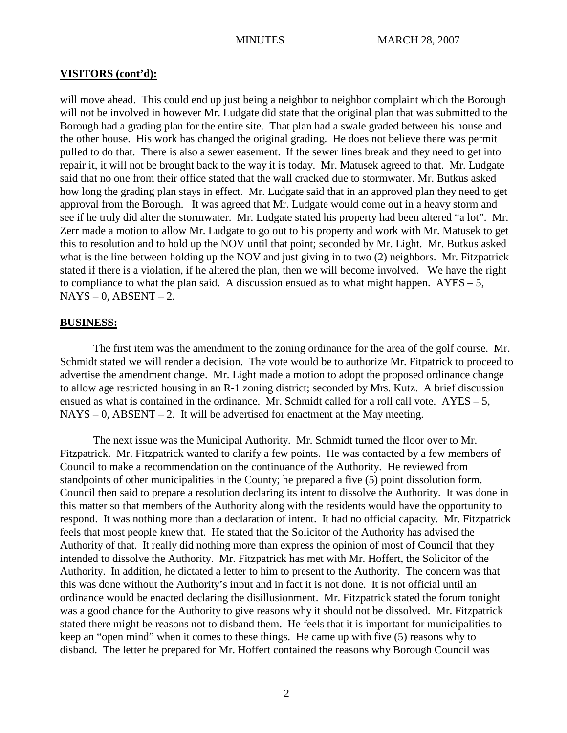## **VISITORS (cont'd):**

will move ahead. This could end up just being a neighbor to neighbor complaint which the Borough will not be involved in however Mr. Ludgate did state that the original plan that was submitted to the Borough had a grading plan for the entire site. That plan had a swale graded between his house and the other house. His work has changed the original grading. He does not believe there was permit pulled to do that. There is also a sewer easement. If the sewer lines break and they need to get into repair it, it will not be brought back to the way it is today. Mr. Matusek agreed to that. Mr. Ludgate said that no one from their office stated that the wall cracked due to stormwater. Mr. Butkus asked how long the grading plan stays in effect. Mr. Ludgate said that in an approved plan they need to get approval from the Borough. It was agreed that Mr. Ludgate would come out in a heavy storm and see if he truly did alter the stormwater. Mr. Ludgate stated his property had been altered "a lot". Mr. Zerr made a motion to allow Mr. Ludgate to go out to his property and work with Mr. Matusek to get this to resolution and to hold up the NOV until that point; seconded by Mr. Light. Mr. Butkus asked what is the line between holding up the NOV and just giving in to two (2) neighbors. Mr. Fitzpatrick stated if there is a violation, if he altered the plan, then we will become involved. We have the right to compliance to what the plan said. A discussion ensued as to what might happen.  $AYES - 5$ ,  $NAYS - 0$ ,  $ABSENT - 2$ .

## **BUSINESS:**

The first item was the amendment to the zoning ordinance for the area of the golf course. Mr. Schmidt stated we will render a decision. The vote would be to authorize Mr. Fitpatrick to proceed to advertise the amendment change. Mr. Light made a motion to adopt the proposed ordinance change to allow age restricted housing in an R-1 zoning district; seconded by Mrs. Kutz. A brief discussion ensued as what is contained in the ordinance. Mr. Schmidt called for a roll call vote.  $AYES - 5$ ,  $NAYS - 0$ ,  $ABSENT - 2$ . It will be advertised for enactment at the May meeting.

The next issue was the Municipal Authority. Mr. Schmidt turned the floor over to Mr. Fitzpatrick. Mr. Fitzpatrick wanted to clarify a few points. He was contacted by a few members of Council to make a recommendation on the continuance of the Authority. He reviewed from standpoints of other municipalities in the County; he prepared a five (5) point dissolution form. Council then said to prepare a resolution declaring its intent to dissolve the Authority. It was done in this matter so that members of the Authority along with the residents would have the opportunity to respond. It was nothing more than a declaration of intent. It had no official capacity. Mr. Fitzpatrick feels that most people knew that. He stated that the Solicitor of the Authority has advised the Authority of that. It really did nothing more than express the opinion of most of Council that they intended to dissolve the Authority. Mr. Fitzpatrick has met with Mr. Hoffert, the Solicitor of the Authority. In addition, he dictated a letter to him to present to the Authority. The concern was that this was done without the Authority's input and in fact it is not done. It is not official until an ordinance would be enacted declaring the disillusionment. Mr. Fitzpatrick stated the forum tonight was a good chance for the Authority to give reasons why it should not be dissolved. Mr. Fitzpatrick stated there might be reasons not to disband them. He feels that it is important for municipalities to keep an "open mind" when it comes to these things. He came up with five (5) reasons why to disband. The letter he prepared for Mr. Hoffert contained the reasons why Borough Council was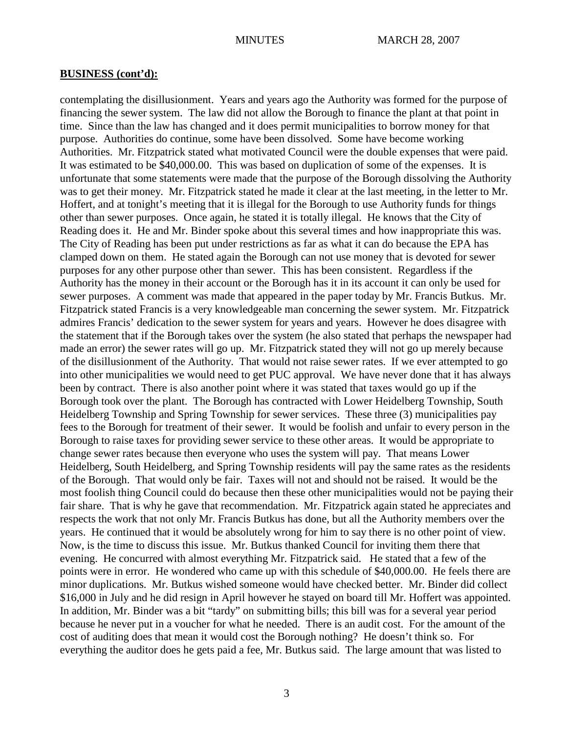contemplating the disillusionment. Years and years ago the Authority was formed for the purpose of financing the sewer system. The law did not allow the Borough to finance the plant at that point in time. Since than the law has changed and it does permit municipalities to borrow money for that purpose. Authorities do continue, some have been dissolved. Some have become working Authorities. Mr. Fitzpatrick stated what motivated Council were the double expenses that were paid. It was estimated to be \$40,000.00. This was based on duplication of some of the expenses. It is unfortunate that some statements were made that the purpose of the Borough dissolving the Authority was to get their money. Mr. Fitzpatrick stated he made it clear at the last meeting, in the letter to Mr. Hoffert, and at tonight's meeting that it is illegal for the Borough to use Authority funds for things other than sewer purposes. Once again, he stated it is totally illegal. He knows that the City of Reading does it. He and Mr. Binder spoke about this several times and how inappropriate this was. The City of Reading has been put under restrictions as far as what it can do because the EPA has clamped down on them. He stated again the Borough can not use money that is devoted for sewer purposes for any other purpose other than sewer. This has been consistent. Regardless if the Authority has the money in their account or the Borough has it in its account it can only be used for sewer purposes. A comment was made that appeared in the paper today by Mr. Francis Butkus. Mr. Fitzpatrick stated Francis is a very knowledgeable man concerning the sewer system. Mr. Fitzpatrick admires Francis' dedication to the sewer system for years and years. However he does disagree with the statement that if the Borough takes over the system (he also stated that perhaps the newspaper had made an error) the sewer rates will go up. Mr. Fitzpatrick stated they will not go up merely because of the disillusionment of the Authority. That would not raise sewer rates. If we ever attempted to go into other municipalities we would need to get PUC approval. We have never done that it has always been by contract. There is also another point where it was stated that taxes would go up if the Borough took over the plant. The Borough has contracted with Lower Heidelberg Township, South Heidelberg Township and Spring Township for sewer services. These three (3) municipalities pay fees to the Borough for treatment of their sewer. It would be foolish and unfair to every person in the Borough to raise taxes for providing sewer service to these other areas. It would be appropriate to change sewer rates because then everyone who uses the system will pay. That means Lower Heidelberg, South Heidelberg, and Spring Township residents will pay the same rates as the residents of the Borough. That would only be fair. Taxes will not and should not be raised. It would be the most foolish thing Council could do because then these other municipalities would not be paying their fair share. That is why he gave that recommendation. Mr. Fitzpatrick again stated he appreciates and respects the work that not only Mr. Francis Butkus has done, but all the Authority members over the years. He continued that it would be absolutely wrong for him to say there is no other point of view. Now, is the time to discuss this issue. Mr. Butkus thanked Council for inviting them there that evening. He concurred with almost everything Mr. Fitzpatrick said. He stated that a few of the points were in error. He wondered who came up with this schedule of \$40,000.00. He feels there are minor duplications. Mr. Butkus wished someone would have checked better. Mr. Binder did collect \$16,000 in July and he did resign in April however he stayed on board till Mr. Hoffert was appointed. In addition, Mr. Binder was a bit "tardy" on submitting bills; this bill was for a several year period because he never put in a voucher for what he needed. There is an audit cost. For the amount of the cost of auditing does that mean it would cost the Borough nothing? He doesn't think so. For everything the auditor does he gets paid a fee, Mr. Butkus said. The large amount that was listed to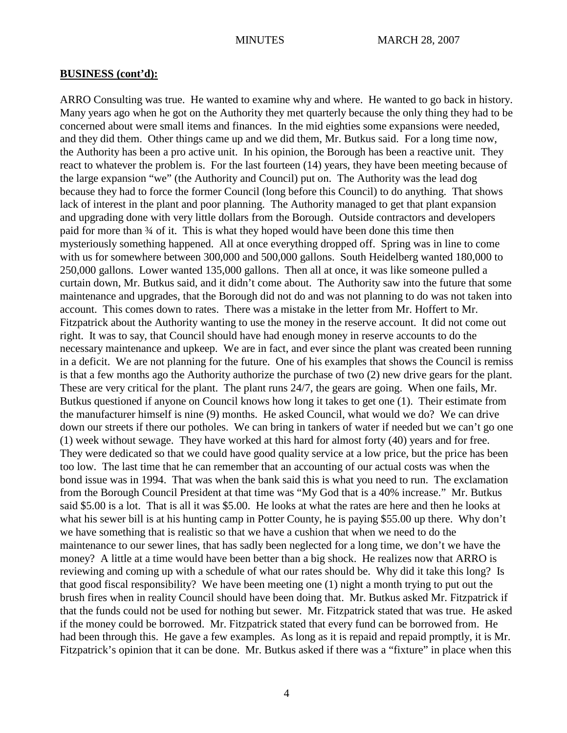ARRO Consulting was true. He wanted to examine why and where. He wanted to go back in history. Many years ago when he got on the Authority they met quarterly because the only thing they had to be concerned about were small items and finances. In the mid eighties some expansions were needed, and they did them. Other things came up and we did them, Mr. Butkus said. For a long time now, the Authority has been a pro active unit. In his opinion, the Borough has been a reactive unit. They react to whatever the problem is. For the last fourteen (14) years, they have been meeting because of the large expansion "we" (the Authority and Council) put on. The Authority was the lead dog because they had to force the former Council (long before this Council) to do anything. That shows lack of interest in the plant and poor planning. The Authority managed to get that plant expansion and upgrading done with very little dollars from the Borough. Outside contractors and developers paid for more than ¾ of it. This is what they hoped would have been done this time then mysteriously something happened. All at once everything dropped off. Spring was in line to come with us for somewhere between 300,000 and 500,000 gallons. South Heidelberg wanted 180,000 to 250,000 gallons. Lower wanted 135,000 gallons. Then all at once, it was like someone pulled a curtain down, Mr. Butkus said, and it didn't come about. The Authority saw into the future that some maintenance and upgrades, that the Borough did not do and was not planning to do was not taken into account. This comes down to rates. There was a mistake in the letter from Mr. Hoffert to Mr. Fitzpatrick about the Authority wanting to use the money in the reserve account. It did not come out right. It was to say, that Council should have had enough money in reserve accounts to do the necessary maintenance and upkeep. We are in fact, and ever since the plant was created been running in a deficit. We are not planning for the future. One of his examples that shows the Council is remiss is that a few months ago the Authority authorize the purchase of two (2) new drive gears for the plant. These are very critical for the plant. The plant runs 24/7, the gears are going. When one fails, Mr. Butkus questioned if anyone on Council knows how long it takes to get one (1). Their estimate from the manufacturer himself is nine (9) months. He asked Council, what would we do? We can drive down our streets if there our potholes. We can bring in tankers of water if needed but we can't go one (1) week without sewage. They have worked at this hard for almost forty (40) years and for free. They were dedicated so that we could have good quality service at a low price, but the price has been too low. The last time that he can remember that an accounting of our actual costs was when the bond issue was in 1994. That was when the bank said this is what you need to run. The exclamation from the Borough Council President at that time was "My God that is a 40% increase." Mr. Butkus said \$5.00 is a lot. That is all it was \$5.00. He looks at what the rates are here and then he looks at what his sewer bill is at his hunting camp in Potter County, he is paying \$55.00 up there. Why don't we have something that is realistic so that we have a cushion that when we need to do the maintenance to our sewer lines, that has sadly been neglected for a long time, we don't we have the money? A little at a time would have been better than a big shock. He realizes now that ARRO is reviewing and coming up with a schedule of what our rates should be. Why did it take this long? Is that good fiscal responsibility? We have been meeting one (1) night a month trying to put out the brush fires when in reality Council should have been doing that. Mr. Butkus asked Mr. Fitzpatrick if that the funds could not be used for nothing but sewer. Mr. Fitzpatrick stated that was true. He asked if the money could be borrowed. Mr. Fitzpatrick stated that every fund can be borrowed from. He had been through this. He gave a few examples. As long as it is repaid and repaid promptly, it is Mr. Fitzpatrick's opinion that it can be done. Mr. Butkus asked if there was a "fixture" in place when this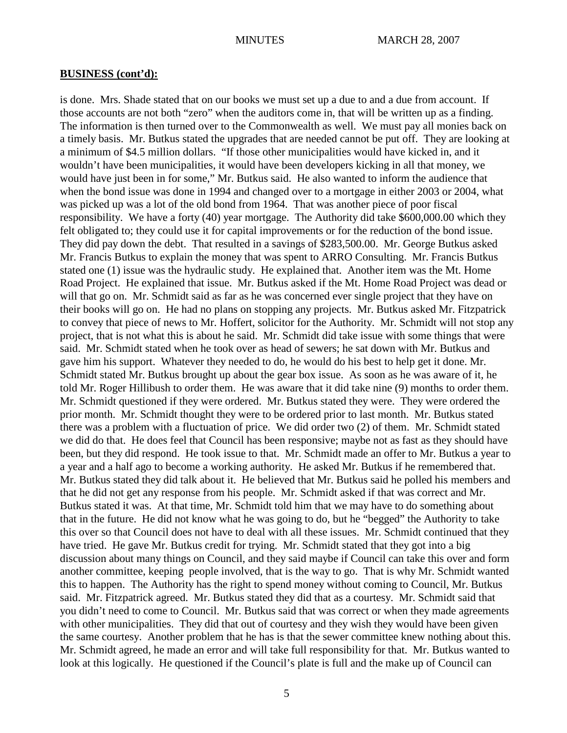is done. Mrs. Shade stated that on our books we must set up a due to and a due from account. If those accounts are not both "zero" when the auditors come in, that will be written up as a finding. The information is then turned over to the Commonwealth as well. We must pay all monies back on a timely basis. Mr. Butkus stated the upgrades that are needed cannot be put off. They are looking at a minimum of \$4.5 million dollars. "If those other municipalities would have kicked in, and it wouldn't have been municipalities, it would have been developers kicking in all that money, we would have just been in for some," Mr. Butkus said. He also wanted to inform the audience that when the bond issue was done in 1994 and changed over to a mortgage in either 2003 or 2004, what was picked up was a lot of the old bond from 1964. That was another piece of poor fiscal responsibility. We have a forty (40) year mortgage. The Authority did take \$600,000.00 which they felt obligated to; they could use it for capital improvements or for the reduction of the bond issue. They did pay down the debt. That resulted in a savings of \$283,500.00. Mr. George Butkus asked Mr. Francis Butkus to explain the money that was spent to ARRO Consulting. Mr. Francis Butkus stated one (1) issue was the hydraulic study. He explained that. Another item was the Mt. Home Road Project. He explained that issue. Mr. Butkus asked if the Mt. Home Road Project was dead or will that go on. Mr. Schmidt said as far as he was concerned ever single project that they have on their books will go on. He had no plans on stopping any projects. Mr. Butkus asked Mr. Fitzpatrick to convey that piece of news to Mr. Hoffert, solicitor for the Authority. Mr. Schmidt will not stop any project, that is not what this is about he said. Mr. Schmidt did take issue with some things that were said. Mr. Schmidt stated when he took over as head of sewers; he sat down with Mr. Butkus and gave him his support. Whatever they needed to do, he would do his best to help get it done. Mr. Schmidt stated Mr. Butkus brought up about the gear box issue. As soon as he was aware of it, he told Mr. Roger Hillibush to order them. He was aware that it did take nine (9) months to order them. Mr. Schmidt questioned if they were ordered. Mr. Butkus stated they were. They were ordered the prior month. Mr. Schmidt thought they were to be ordered prior to last month. Mr. Butkus stated there was a problem with a fluctuation of price. We did order two (2) of them. Mr. Schmidt stated we did do that. He does feel that Council has been responsive; maybe not as fast as they should have been, but they did respond. He took issue to that. Mr. Schmidt made an offer to Mr. Butkus a year to a year and a half ago to become a working authority. He asked Mr. Butkus if he remembered that. Mr. Butkus stated they did talk about it. He believed that Mr. Butkus said he polled his members and that he did not get any response from his people. Mr. Schmidt asked if that was correct and Mr. Butkus stated it was. At that time, Mr. Schmidt told him that we may have to do something about that in the future. He did not know what he was going to do, but he "begged" the Authority to take this over so that Council does not have to deal with all these issues. Mr. Schmidt continued that they have tried. He gave Mr. Butkus credit for trying. Mr. Schmidt stated that they got into a big discussion about many things on Council, and they said maybe if Council can take this over and form another committee, keeping people involved, that is the way to go. That is why Mr. Schmidt wanted this to happen. The Authority has the right to spend money without coming to Council, Mr. Butkus said. Mr. Fitzpatrick agreed. Mr. Butkus stated they did that as a courtesy. Mr. Schmidt said that you didn't need to come to Council. Mr. Butkus said that was correct or when they made agreements with other municipalities. They did that out of courtesy and they wish they would have been given the same courtesy. Another problem that he has is that the sewer committee knew nothing about this. Mr. Schmidt agreed, he made an error and will take full responsibility for that. Mr. Butkus wanted to look at this logically. He questioned if the Council's plate is full and the make up of Council can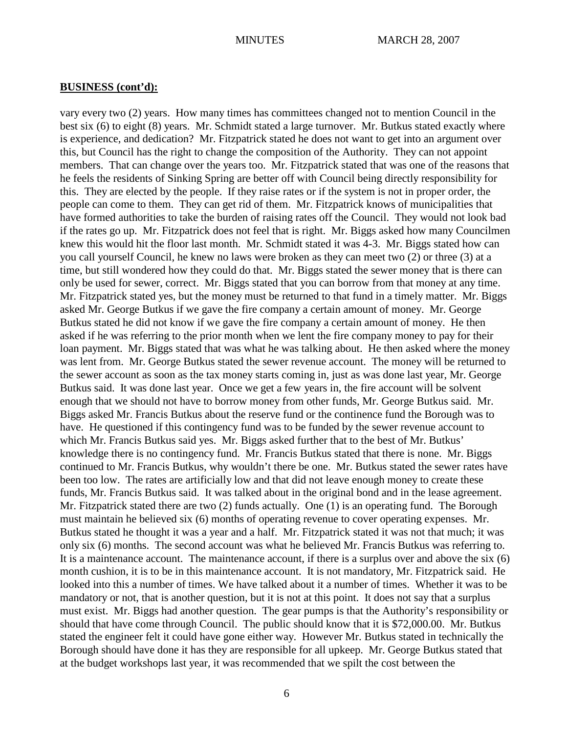vary every two (2) years. How many times has committees changed not to mention Council in the best six (6) to eight (8) years. Mr. Schmidt stated a large turnover. Mr. Butkus stated exactly where is experience, and dedication? Mr. Fitzpatrick stated he does not want to get into an argument over this, but Council has the right to change the composition of the Authority. They can not appoint members. That can change over the years too. Mr. Fitzpatrick stated that was one of the reasons that he feels the residents of Sinking Spring are better off with Council being directly responsibility for this. They are elected by the people. If they raise rates or if the system is not in proper order, the people can come to them. They can get rid of them. Mr. Fitzpatrick knows of municipalities that have formed authorities to take the burden of raising rates off the Council. They would not look bad if the rates go up. Mr. Fitzpatrick does not feel that is right. Mr. Biggs asked how many Councilmen knew this would hit the floor last month. Mr. Schmidt stated it was 4-3. Mr. Biggs stated how can you call yourself Council, he knew no laws were broken as they can meet two (2) or three (3) at a time, but still wondered how they could do that. Mr. Biggs stated the sewer money that is there can only be used for sewer, correct. Mr. Biggs stated that you can borrow from that money at any time. Mr. Fitzpatrick stated yes, but the money must be returned to that fund in a timely matter. Mr. Biggs asked Mr. George Butkus if we gave the fire company a certain amount of money. Mr. George Butkus stated he did not know if we gave the fire company a certain amount of money. He then asked if he was referring to the prior month when we lent the fire company money to pay for their loan payment. Mr. Biggs stated that was what he was talking about. He then asked where the money was lent from. Mr. George Butkus stated the sewer revenue account. The money will be returned to the sewer account as soon as the tax money starts coming in, just as was done last year, Mr. George Butkus said. It was done last year. Once we get a few years in, the fire account will be solvent enough that we should not have to borrow money from other funds, Mr. George Butkus said. Mr. Biggs asked Mr. Francis Butkus about the reserve fund or the continence fund the Borough was to have. He questioned if this contingency fund was to be funded by the sewer revenue account to which Mr. Francis Butkus said yes. Mr. Biggs asked further that to the best of Mr. Butkus' knowledge there is no contingency fund. Mr. Francis Butkus stated that there is none. Mr. Biggs continued to Mr. Francis Butkus, why wouldn't there be one. Mr. Butkus stated the sewer rates have been too low. The rates are artificially low and that did not leave enough money to create these funds, Mr. Francis Butkus said. It was talked about in the original bond and in the lease agreement. Mr. Fitzpatrick stated there are two (2) funds actually. One (1) is an operating fund. The Borough must maintain he believed six (6) months of operating revenue to cover operating expenses. Mr. Butkus stated he thought it was a year and a half. Mr. Fitzpatrick stated it was not that much; it was only six (6) months. The second account was what he believed Mr. Francis Butkus was referring to. It is a maintenance account. The maintenance account, if there is a surplus over and above the six (6) month cushion, it is to be in this maintenance account. It is not mandatory, Mr. Fitzpatrick said. He looked into this a number of times. We have talked about it a number of times. Whether it was to be mandatory or not, that is another question, but it is not at this point. It does not say that a surplus must exist. Mr. Biggs had another question. The gear pumps is that the Authority's responsibility or should that have come through Council. The public should know that it is \$72,000.00. Mr. Butkus stated the engineer felt it could have gone either way. However Mr. Butkus stated in technically the Borough should have done it has they are responsible for all upkeep. Mr. George Butkus stated that at the budget workshops last year, it was recommended that we spilt the cost between the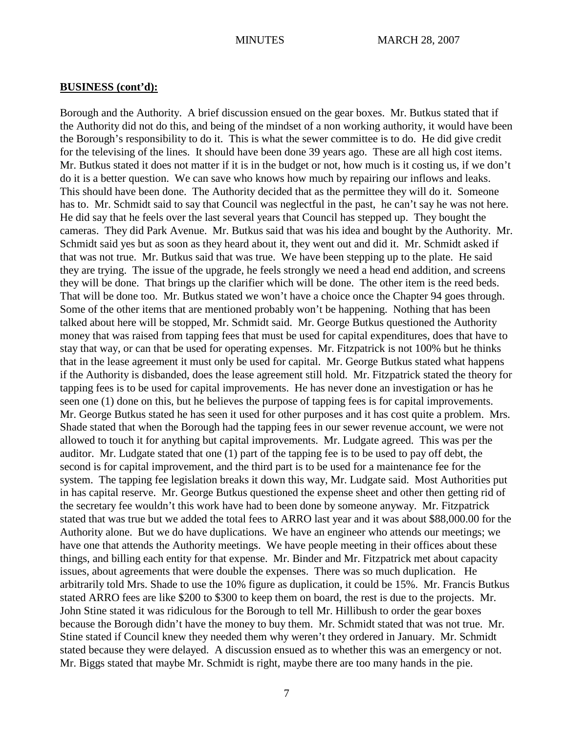Borough and the Authority. A brief discussion ensued on the gear boxes. Mr. Butkus stated that if the Authority did not do this, and being of the mindset of a non working authority, it would have been the Borough's responsibility to do it. This is what the sewer committee is to do. He did give credit for the televising of the lines. It should have been done 39 years ago. These are all high cost items. Mr. Butkus stated it does not matter if it is in the budget or not, how much is it costing us, if we don't do it is a better question. We can save who knows how much by repairing our inflows and leaks. This should have been done. The Authority decided that as the permittee they will do it. Someone has to. Mr. Schmidt said to say that Council was neglectful in the past, he can't say he was not here. He did say that he feels over the last several years that Council has stepped up. They bought the cameras. They did Park Avenue. Mr. Butkus said that was his idea and bought by the Authority. Mr. Schmidt said yes but as soon as they heard about it, they went out and did it. Mr. Schmidt asked if that was not true. Mr. Butkus said that was true. We have been stepping up to the plate. He said they are trying. The issue of the upgrade, he feels strongly we need a head end addition, and screens they will be done. That brings up the clarifier which will be done. The other item is the reed beds. That will be done too. Mr. Butkus stated we won't have a choice once the Chapter 94 goes through. Some of the other items that are mentioned probably won't be happening. Nothing that has been talked about here will be stopped, Mr. Schmidt said. Mr. George Butkus questioned the Authority money that was raised from tapping fees that must be used for capital expenditures, does that have to stay that way, or can that be used for operating expenses. Mr. Fitzpatrick is not 100% but he thinks that in the lease agreement it must only be used for capital. Mr. George Butkus stated what happens if the Authority is disbanded, does the lease agreement still hold. Mr. Fitzpatrick stated the theory for tapping fees is to be used for capital improvements. He has never done an investigation or has he seen one (1) done on this, but he believes the purpose of tapping fees is for capital improvements. Mr. George Butkus stated he has seen it used for other purposes and it has cost quite a problem. Mrs. Shade stated that when the Borough had the tapping fees in our sewer revenue account, we were not allowed to touch it for anything but capital improvements. Mr. Ludgate agreed. This was per the auditor. Mr. Ludgate stated that one (1) part of the tapping fee is to be used to pay off debt, the second is for capital improvement, and the third part is to be used for a maintenance fee for the system. The tapping fee legislation breaks it down this way, Mr. Ludgate said. Most Authorities put in has capital reserve. Mr. George Butkus questioned the expense sheet and other then getting rid of the secretary fee wouldn't this work have had to been done by someone anyway. Mr. Fitzpatrick stated that was true but we added the total fees to ARRO last year and it was about \$88,000.00 for the Authority alone. But we do have duplications. We have an engineer who attends our meetings; we have one that attends the Authority meetings. We have people meeting in their offices about these things, and billing each entity for that expense. Mr. Binder and Mr. Fitzpatrick met about capacity issues, about agreements that were double the expenses. There was so much duplication. He arbitrarily told Mrs. Shade to use the 10% figure as duplication, it could be 15%. Mr. Francis Butkus stated ARRO fees are like \$200 to \$300 to keep them on board, the rest is due to the projects. Mr. John Stine stated it was ridiculous for the Borough to tell Mr. Hillibush to order the gear boxes because the Borough didn't have the money to buy them. Mr. Schmidt stated that was not true. Mr. Stine stated if Council knew they needed them why weren't they ordered in January. Mr. Schmidt stated because they were delayed. A discussion ensued as to whether this was an emergency or not. Mr. Biggs stated that maybe Mr. Schmidt is right, maybe there are too many hands in the pie.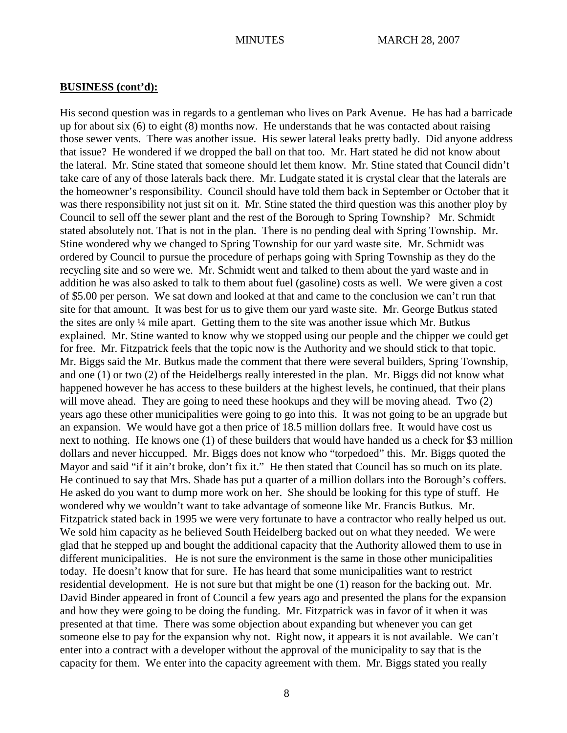His second question was in regards to a gentleman who lives on Park Avenue. He has had a barricade up for about six (6) to eight (8) months now. He understands that he was contacted about raising those sewer vents. There was another issue. His sewer lateral leaks pretty badly. Did anyone address that issue? He wondered if we dropped the ball on that too. Mr. Hart stated he did not know about the lateral. Mr. Stine stated that someone should let them know. Mr. Stine stated that Council didn't take care of any of those laterals back there. Mr. Ludgate stated it is crystal clear that the laterals are the homeowner's responsibility. Council should have told them back in September or October that it was there responsibility not just sit on it. Mr. Stine stated the third question was this another ploy by Council to sell off the sewer plant and the rest of the Borough to Spring Township? Mr. Schmidt stated absolutely not. That is not in the plan. There is no pending deal with Spring Township. Mr. Stine wondered why we changed to Spring Township for our yard waste site. Mr. Schmidt was ordered by Council to pursue the procedure of perhaps going with Spring Township as they do the recycling site and so were we. Mr. Schmidt went and talked to them about the yard waste and in addition he was also asked to talk to them about fuel (gasoline) costs as well. We were given a cost of \$5.00 per person. We sat down and looked at that and came to the conclusion we can't run that site for that amount. It was best for us to give them our yard waste site. Mr. George Butkus stated the sites are only ¼ mile apart. Getting them to the site was another issue which Mr. Butkus explained. Mr. Stine wanted to know why we stopped using our people and the chipper we could get for free. Mr. Fitzpatrick feels that the topic now is the Authority and we should stick to that topic. Mr. Biggs said the Mr. Butkus made the comment that there were several builders, Spring Township, and one (1) or two (2) of the Heidelbergs really interested in the plan. Mr. Biggs did not know what happened however he has access to these builders at the highest levels, he continued, that their plans will move ahead. They are going to need these hookups and they will be moving ahead. Two (2) years ago these other municipalities were going to go into this. It was not going to be an upgrade but an expansion. We would have got a then price of 18.5 million dollars free. It would have cost us next to nothing. He knows one (1) of these builders that would have handed us a check for \$3 million dollars and never hiccupped. Mr. Biggs does not know who "torpedoed" this. Mr. Biggs quoted the Mayor and said "if it ain't broke, don't fix it." He then stated that Council has so much on its plate. He continued to say that Mrs. Shade has put a quarter of a million dollars into the Borough's coffers. He asked do you want to dump more work on her. She should be looking for this type of stuff. He wondered why we wouldn't want to take advantage of someone like Mr. Francis Butkus. Mr. Fitzpatrick stated back in 1995 we were very fortunate to have a contractor who really helped us out. We sold him capacity as he believed South Heidelberg backed out on what they needed. We were glad that he stepped up and bought the additional capacity that the Authority allowed them to use in different municipalities. He is not sure the environment is the same in those other municipalities today. He doesn't know that for sure. He has heard that some municipalities want to restrict residential development. He is not sure but that might be one (1) reason for the backing out. Mr. David Binder appeared in front of Council a few years ago and presented the plans for the expansion and how they were going to be doing the funding. Mr. Fitzpatrick was in favor of it when it was presented at that time. There was some objection about expanding but whenever you can get someone else to pay for the expansion why not. Right now, it appears it is not available. We can't enter into a contract with a developer without the approval of the municipality to say that is the capacity for them. We enter into the capacity agreement with them. Mr. Biggs stated you really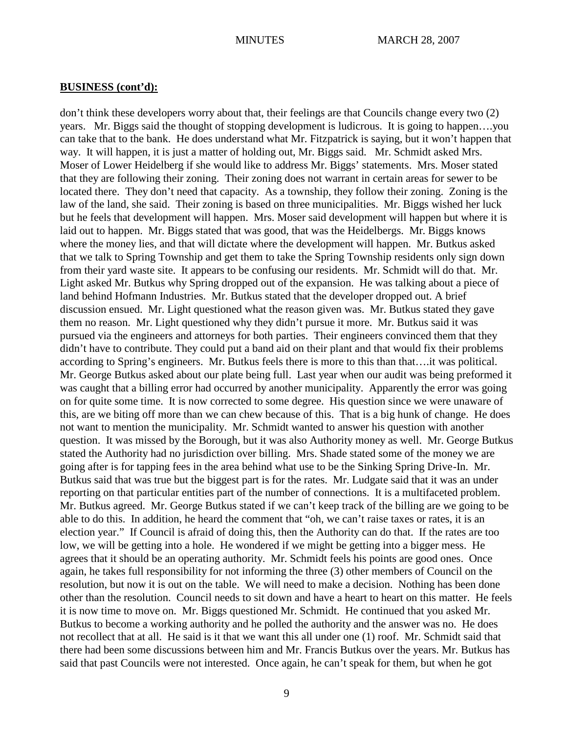don't think these developers worry about that, their feelings are that Councils change every two (2) years. Mr. Biggs said the thought of stopping development is ludicrous. It is going to happen….you can take that to the bank. He does understand what Mr. Fitzpatrick is saying, but it won't happen that way. It will happen, it is just a matter of holding out, Mr. Biggs said. Mr. Schmidt asked Mrs. Moser of Lower Heidelberg if she would like to address Mr. Biggs' statements. Mrs. Moser stated that they are following their zoning. Their zoning does not warrant in certain areas for sewer to be located there. They don't need that capacity. As a township, they follow their zoning. Zoning is the law of the land, she said. Their zoning is based on three municipalities. Mr. Biggs wished her luck but he feels that development will happen. Mrs. Moser said development will happen but where it is laid out to happen. Mr. Biggs stated that was good, that was the Heidelbergs. Mr. Biggs knows where the money lies, and that will dictate where the development will happen. Mr. Butkus asked that we talk to Spring Township and get them to take the Spring Township residents only sign down from their yard waste site. It appears to be confusing our residents. Mr. Schmidt will do that. Mr. Light asked Mr. Butkus why Spring dropped out of the expansion. He was talking about a piece of land behind Hofmann Industries. Mr. Butkus stated that the developer dropped out. A brief discussion ensued. Mr. Light questioned what the reason given was. Mr. Butkus stated they gave them no reason. Mr. Light questioned why they didn't pursue it more. Mr. Butkus said it was pursued via the engineers and attorneys for both parties. Their engineers convinced them that they didn't have to contribute. They could put a band aid on their plant and that would fix their problems according to Spring's engineers. Mr. Butkus feels there is more to this than that….it was political. Mr. George Butkus asked about our plate being full. Last year when our audit was being preformed it was caught that a billing error had occurred by another municipality. Apparently the error was going on for quite some time. It is now corrected to some degree. His question since we were unaware of this, are we biting off more than we can chew because of this. That is a big hunk of change. He does not want to mention the municipality. Mr. Schmidt wanted to answer his question with another question. It was missed by the Borough, but it was also Authority money as well. Mr. George Butkus stated the Authority had no jurisdiction over billing. Mrs. Shade stated some of the money we are going after is for tapping fees in the area behind what use to be the Sinking Spring Drive-In. Mr. Butkus said that was true but the biggest part is for the rates. Mr. Ludgate said that it was an under reporting on that particular entities part of the number of connections. It is a multifaceted problem. Mr. Butkus agreed. Mr. George Butkus stated if we can't keep track of the billing are we going to be able to do this. In addition, he heard the comment that "oh, we can't raise taxes or rates, it is an election year." If Council is afraid of doing this, then the Authority can do that. If the rates are too low, we will be getting into a hole. He wondered if we might be getting into a bigger mess. He agrees that it should be an operating authority. Mr. Schmidt feels his points are good ones. Once again, he takes full responsibility for not informing the three (3) other members of Council on the resolution, but now it is out on the table. We will need to make a decision. Nothing has been done other than the resolution. Council needs to sit down and have a heart to heart on this matter. He feels it is now time to move on. Mr. Biggs questioned Mr. Schmidt. He continued that you asked Mr. Butkus to become a working authority and he polled the authority and the answer was no. He does not recollect that at all. He said is it that we want this all under one (1) roof. Mr. Schmidt said that there had been some discussions between him and Mr. Francis Butkus over the years. Mr. Butkus has said that past Councils were not interested. Once again, he can't speak for them, but when he got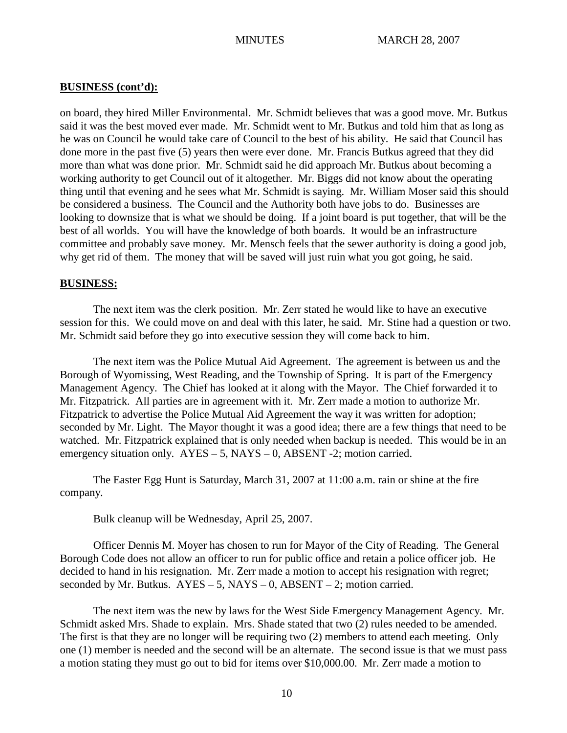on board, they hired Miller Environmental. Mr. Schmidt believes that was a good move. Mr. Butkus said it was the best moved ever made. Mr. Schmidt went to Mr. Butkus and told him that as long as he was on Council he would take care of Council to the best of his ability. He said that Council has done more in the past five (5) years then were ever done. Mr. Francis Butkus agreed that they did more than what was done prior. Mr. Schmidt said he did approach Mr. Butkus about becoming a working authority to get Council out of it altogether. Mr. Biggs did not know about the operating thing until that evening and he sees what Mr. Schmidt is saying. Mr. William Moser said this should be considered a business. The Council and the Authority both have jobs to do. Businesses are looking to downsize that is what we should be doing. If a joint board is put together, that will be the best of all worlds. You will have the knowledge of both boards. It would be an infrastructure committee and probably save money. Mr. Mensch feels that the sewer authority is doing a good job, why get rid of them. The money that will be saved will just ruin what you got going, he said.

### **BUSINESS:**

The next item was the clerk position. Mr. Zerr stated he would like to have an executive session for this. We could move on and deal with this later, he said. Mr. Stine had a question or two. Mr. Schmidt said before they go into executive session they will come back to him.

The next item was the Police Mutual Aid Agreement. The agreement is between us and the Borough of Wyomissing, West Reading, and the Township of Spring. It is part of the Emergency Management Agency. The Chief has looked at it along with the Mayor. The Chief forwarded it to Mr. Fitzpatrick. All parties are in agreement with it. Mr. Zerr made a motion to authorize Mr. Fitzpatrick to advertise the Police Mutual Aid Agreement the way it was written for adoption; seconded by Mr. Light. The Mayor thought it was a good idea; there are a few things that need to be watched. Mr. Fitzpatrick explained that is only needed when backup is needed. This would be in an emergency situation only.  $AYES - 5$ ,  $NAYS - 0$ ,  $ABSENT - 2$ ; motion carried.

The Easter Egg Hunt is Saturday, March 31, 2007 at 11:00 a.m. rain or shine at the fire company.

Bulk cleanup will be Wednesday, April 25, 2007.

Officer Dennis M. Moyer has chosen to run for Mayor of the City of Reading. The General Borough Code does not allow an officer to run for public office and retain a police officer job. He decided to hand in his resignation. Mr. Zerr made a motion to accept his resignation with regret; seconded by Mr. Butkus.  $AYES - 5$ ,  $NAYS - 0$ ,  $ABSENT - 2$ ; motion carried.

The next item was the new by laws for the West Side Emergency Management Agency. Mr. Schmidt asked Mrs. Shade to explain. Mrs. Shade stated that two (2) rules needed to be amended. The first is that they are no longer will be requiring two (2) members to attend each meeting. Only one (1) member is needed and the second will be an alternate. The second issue is that we must pass a motion stating they must go out to bid for items over \$10,000.00. Mr. Zerr made a motion to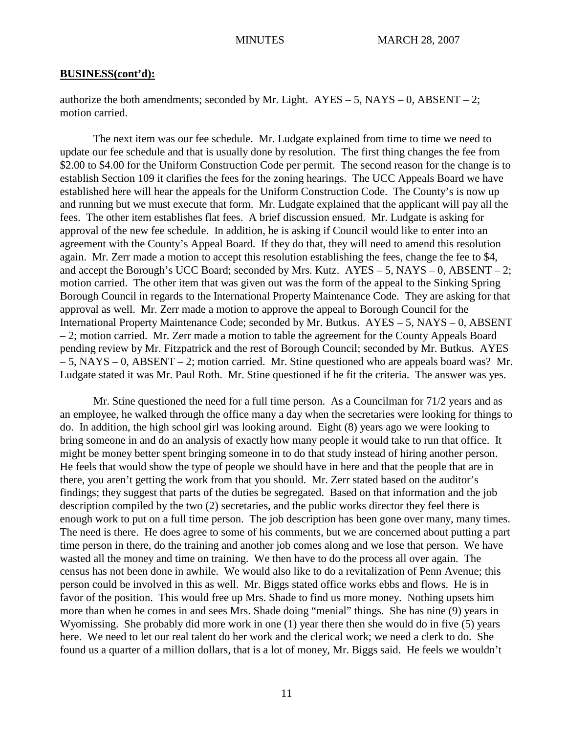authorize the both amendments; seconded by Mr. Light.  $AYES - 5$ ,  $NAYS - 0$ ,  $ABSENT - 2$ ; motion carried.

The next item was our fee schedule. Mr. Ludgate explained from time to time we need to update our fee schedule and that is usually done by resolution. The first thing changes the fee from \$2.00 to \$4.00 for the Uniform Construction Code per permit. The second reason for the change is to establish Section 109 it clarifies the fees for the zoning hearings. The UCC Appeals Board we have established here will hear the appeals for the Uniform Construction Code. The County's is now up and running but we must execute that form. Mr. Ludgate explained that the applicant will pay all the fees. The other item establishes flat fees. A brief discussion ensued. Mr. Ludgate is asking for approval of the new fee schedule. In addition, he is asking if Council would like to enter into an agreement with the County's Appeal Board. If they do that, they will need to amend this resolution again. Mr. Zerr made a motion to accept this resolution establishing the fees, change the fee to \$4, and accept the Borough's UCC Board; seconded by Mrs. Kutz.  $AYES - 5$ ,  $NAYS - 0$ ,  $ABSENT - 2$ ; motion carried. The other item that was given out was the form of the appeal to the Sinking Spring Borough Council in regards to the International Property Maintenance Code. They are asking for that approval as well. Mr. Zerr made a motion to approve the appeal to Borough Council for the International Property Maintenance Code; seconded by Mr. Butkus. AYES – 5, NAYS – 0, ABSENT – 2; motion carried. Mr. Zerr made a motion to table the agreement for the County Appeals Board pending review by Mr. Fitzpatrick and the rest of Borough Council; seconded by Mr. Butkus. AYES – 5, NAYS – 0, ABSENT – 2; motion carried. Mr. Stine questioned who are appeals board was? Mr. Ludgate stated it was Mr. Paul Roth. Mr. Stine questioned if he fit the criteria. The answer was yes.

Mr. Stine questioned the need for a full time person. As a Councilman for 71/2 years and as an employee, he walked through the office many a day when the secretaries were looking for things to do. In addition, the high school girl was looking around. Eight (8) years ago we were looking to bring someone in and do an analysis of exactly how many people it would take to run that office. It might be money better spent bringing someone in to do that study instead of hiring another person. He feels that would show the type of people we should have in here and that the people that are in there, you aren't getting the work from that you should. Mr. Zerr stated based on the auditor's findings; they suggest that parts of the duties be segregated. Based on that information and the job description compiled by the two (2) secretaries, and the public works director they feel there is enough work to put on a full time person. The job description has been gone over many, many times. The need is there. He does agree to some of his comments, but we are concerned about putting a part time person in there, do the training and another job comes along and we lose that person. We have wasted all the money and time on training. We then have to do the process all over again. The census has not been done in awhile. We would also like to do a revitalization of Penn Avenue; this person could be involved in this as well. Mr. Biggs stated office works ebbs and flows. He is in favor of the position. This would free up Mrs. Shade to find us more money. Nothing upsets him more than when he comes in and sees Mrs. Shade doing "menial" things. She has nine (9) years in Wyomissing. She probably did more work in one (1) year there then she would do in five (5) years here. We need to let our real talent do her work and the clerical work; we need a clerk to do. She found us a quarter of a million dollars, that is a lot of money, Mr. Biggs said. He feels we wouldn't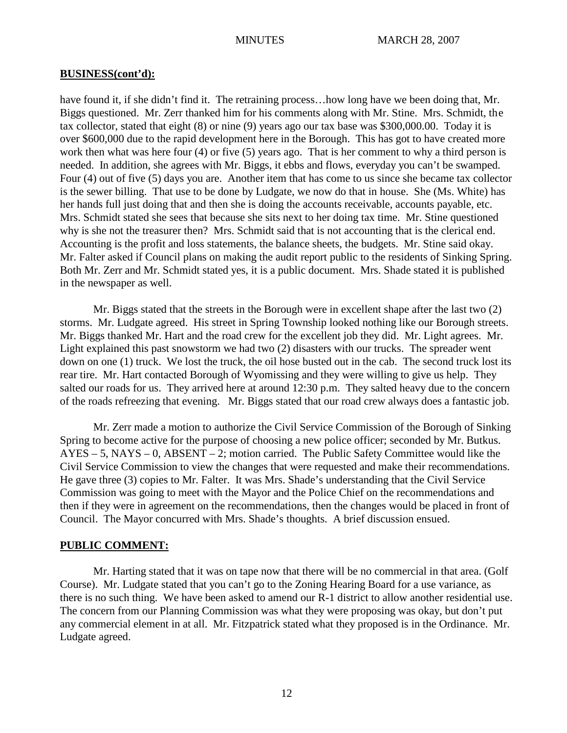have found it, if she didn't find it. The retraining process…how long have we been doing that, Mr. Biggs questioned. Mr. Zerr thanked him for his comments along with Mr. Stine. Mrs. Schmidt, the tax collector, stated that eight (8) or nine (9) years ago our tax base was \$300,000.00. Today it is over \$600,000 due to the rapid development here in the Borough. This has got to have created more work then what was here four (4) or five (5) years ago. That is her comment to why a third person is needed. In addition, she agrees with Mr. Biggs, it ebbs and flows, everyday you can't be swamped. Four (4) out of five (5) days you are. Another item that has come to us since she became tax collector is the sewer billing. That use to be done by Ludgate, we now do that in house. She (Ms. White) has her hands full just doing that and then she is doing the accounts receivable, accounts payable, etc. Mrs. Schmidt stated she sees that because she sits next to her doing tax time. Mr. Stine questioned why is she not the treasurer then? Mrs. Schmidt said that is not accounting that is the clerical end. Accounting is the profit and loss statements, the balance sheets, the budgets. Mr. Stine said okay. Mr. Falter asked if Council plans on making the audit report public to the residents of Sinking Spring. Both Mr. Zerr and Mr. Schmidt stated yes, it is a public document. Mrs. Shade stated it is published in the newspaper as well.

Mr. Biggs stated that the streets in the Borough were in excellent shape after the last two (2) storms. Mr. Ludgate agreed. His street in Spring Township looked nothing like our Borough streets. Mr. Biggs thanked Mr. Hart and the road crew for the excellent job they did. Mr. Light agrees. Mr. Light explained this past snowstorm we had two (2) disasters with our trucks. The spreader went down on one (1) truck. We lost the truck, the oil hose busted out in the cab. The second truck lost its rear tire. Mr. Hart contacted Borough of Wyomissing and they were willing to give us help. They salted our roads for us. They arrived here at around 12:30 p.m. They salted heavy due to the concern of the roads refreezing that evening. Mr. Biggs stated that our road crew always does a fantastic job.

Mr. Zerr made a motion to authorize the Civil Service Commission of the Borough of Sinking Spring to become active for the purpose of choosing a new police officer; seconded by Mr. Butkus.  $AYES - 5$ ,  $NAYS - 0$ ,  $ABSENT - 2$ ; motion carried. The Public Safety Committee would like the Civil Service Commission to view the changes that were requested and make their recommendations. He gave three (3) copies to Mr. Falter. It was Mrs. Shade's understanding that the Civil Service Commission was going to meet with the Mayor and the Police Chief on the recommendations and then if they were in agreement on the recommendations, then the changes would be placed in front of Council. The Mayor concurred with Mrs. Shade's thoughts. A brief discussion ensued.

## **PUBLIC COMMENT:**

Mr. Harting stated that it was on tape now that there will be no commercial in that area. (Golf Course). Mr. Ludgate stated that you can't go to the Zoning Hearing Board for a use variance, as there is no such thing. We have been asked to amend our R-1 district to allow another residential use. The concern from our Planning Commission was what they were proposing was okay, but don't put any commercial element in at all. Mr. Fitzpatrick stated what they proposed is in the Ordinance. Mr. Ludgate agreed.